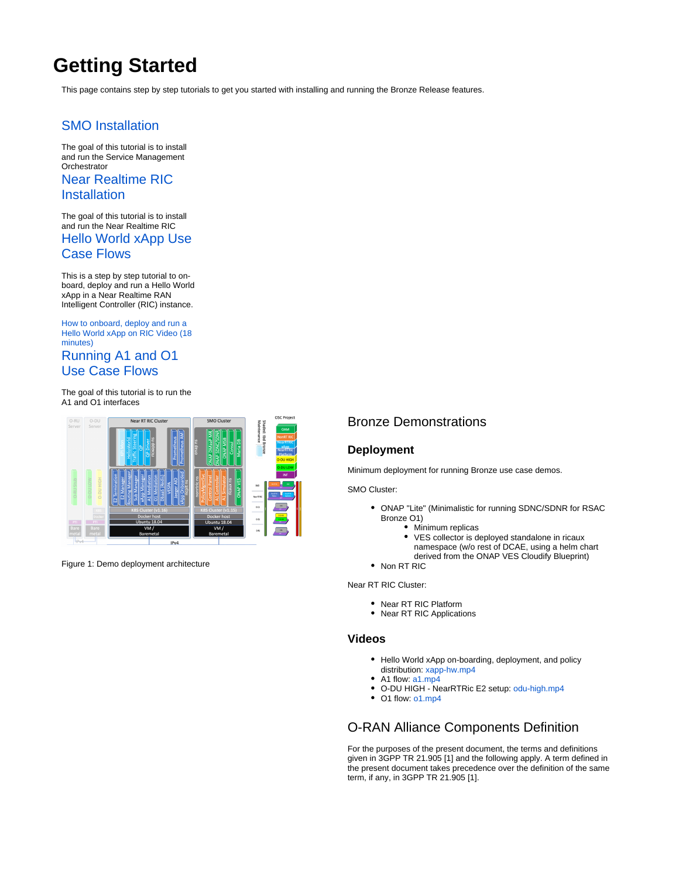# **Getting Started**

This page contains step by step tutorials to get you started with installing and running the Bronze Release features.

## [SMO Installation](https://wiki.o-ran-sc.org/display/GS/SMO+Installation)

The goal of this tutorial is to install and run the Service Management **Orchestrator** [Near Realtime RIC](https://wiki.o-ran-sc.org/display/GS/Near+Realtime+RIC+Installation) 

### **[Installation](https://wiki.o-ran-sc.org/display/GS/Near+Realtime+RIC+Installation)**

The goal of this tutorial is to install and run the Near Realtime RIC

#### [Hello World xApp Use](https://wiki.o-ran-sc.org/display/GS/Hello+World+xApp+Use+Case+Flows)  [Case Flows](https://wiki.o-ran-sc.org/display/GS/Hello+World+xApp+Use+Case+Flows)

This is a step by step tutorial to onboard, deploy and run a Hello World xApp in a Near Realtime RAN Intelligent Controller (RIC) instance.

[How to onboard, deploy and run a](https://wiki.o-ran-sc.org/download/attachments/20875211/xapp-hw.mp4?version=1&modificationDate=1592949499661&api=v2)  [Hello World xApp on RIC Video \(18](https://wiki.o-ran-sc.org/download/attachments/20875211/xapp-hw.mp4?version=1&modificationDate=1592949499661&api=v2)  [minutes\)](https://wiki.o-ran-sc.org/download/attachments/20875211/xapp-hw.mp4?version=1&modificationDate=1592949499661&api=v2)

# [Running A1 and O1](https://wiki.o-ran-sc.org/display/GS/Running+A1+and+O1+Use+Case+Flows)  [Use Case Flows](https://wiki.o-ran-sc.org/display/GS/Running+A1+and+O1+Use+Case+Flows)

The goal of this tutorial is to run the A1 and O1 interfaces



Figure 1: Demo deployment architecture

## Bronze Demonstrations

#### **Deployment**

Minimum deployment for running Bronze use case demos.

SMO Cluster:

- ONAP "Lite" (Minimalistic for running SDNC/SDNR for RSAC Bronze O1)
	- Minimum replicas
	- VES collector is deployed standalone in ricaux namespace (w/o rest of DCAE, using a helm chart
	- derived from the ONAP VES Cloudify Blueprint)

• Non RT RIC

Near RT RIC Cluster:

- Near RT RIC Platform
- Near RT RIC Applications

#### **Videos**

- Hello World xApp on-boarding, deployment, and policy distribution: [xapp-hw.mp4](https://wiki.o-ran-sc.org/download/attachments/20875211/xapp-hw.mp4?version=1&modificationDate=1592949499661&api=v2)
- $\bullet$ A1 flow: [a1.mp4](https://wiki.o-ran-sc.org/download/attachments/20875214/a1.mp4?version=1&modificationDate=1593058746706&api=v2)
- O-DU HIGH NearRTRic E2 setup: [odu-high.mp4](https://wiki.o-ran-sc.org/download/attachments/20875214/odu-high.mp4?version=1&modificationDate=1593053913222&api=v2)
- O1 flow: [o1.mp4](https://wiki.o-ran-sc.org/download/attachments/20875214/o1.mp4?version=1&modificationDate=1593573258294&api=v2)

# O-RAN Alliance Components Definition

For the purposes of the present document, the terms and definitions given in 3GPP TR 21.905 [1] and the following apply. A term defined in the present document takes precedence over the definition of the same term, if any, in 3GPP TR 21.905 [1].